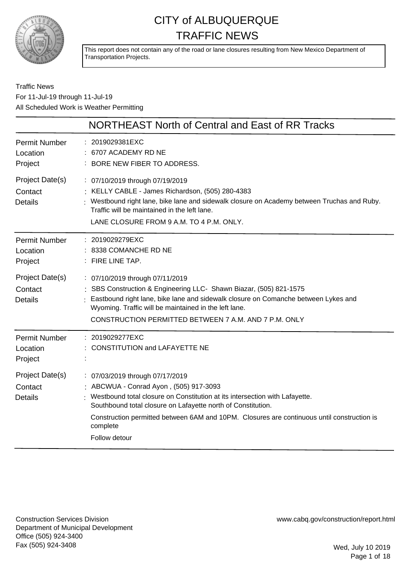

This report does not contain any of the road or lane closures resulting from New Mexico Department of Transportation Projects.

### Traffic News For 11-Jul-19 through 11-Jul-19 All Scheduled Work is Weather Permitting

|                                              | NORTHEAST North of Central and East of RR Tracks                                                                                                                                                                                                                                                                                                      |
|----------------------------------------------|-------------------------------------------------------------------------------------------------------------------------------------------------------------------------------------------------------------------------------------------------------------------------------------------------------------------------------------------------------|
| <b>Permit Number</b><br>Location<br>Project  | : 2019029381EXC<br>: 6707 ACADEMY RD NE<br>BORE NEW FIBER TO ADDRESS.                                                                                                                                                                                                                                                                                 |
| Project Date(s)<br>Contact<br><b>Details</b> | : 07/10/2019 through 07/19/2019<br>: KELLY CABLE - James Richardson, (505) 280-4383<br>: Westbound right lane, bike lane and sidewalk closure on Academy between Truchas and Ruby.<br>Traffic will be maintained in the left lane.<br>LANE CLOSURE FROM 9 A.M. TO 4 P.M. ONLY.                                                                        |
| <b>Permit Number</b><br>Location<br>Project  | : 2019029279EXC<br>: 8338 COMANCHE RD NE<br>: FIRE LINE TAP.                                                                                                                                                                                                                                                                                          |
| Project Date(s)<br>Contact<br><b>Details</b> | : 07/10/2019 through 07/11/2019<br>: SBS Construction & Engineering LLC- Shawn Biazar, (505) 821-1575<br>Eastbound right lane, bike lane and sidewalk closure on Comanche between Lykes and<br>Wyoming. Traffic will be maintained in the left lane.<br>CONSTRUCTION PERMITTED BETWEEN 7 A.M. AND 7 P.M. ONLY                                         |
| <b>Permit Number</b><br>Location<br>Project  | 2019029277EXC<br>: CONSTITUTION and LAFAYETTE NE                                                                                                                                                                                                                                                                                                      |
| Project Date(s)<br>Contact<br><b>Details</b> | : 07/03/2019 through 07/17/2019<br>: ABCWUA - Conrad Ayon, (505) 917-3093<br>: Westbound total closure on Constitution at its intersection with Lafayette.<br>Southbound total closure on Lafayette north of Constitution.<br>Construction permitted between 6AM and 10PM. Closures are continuous until construction is<br>complete<br>Follow detour |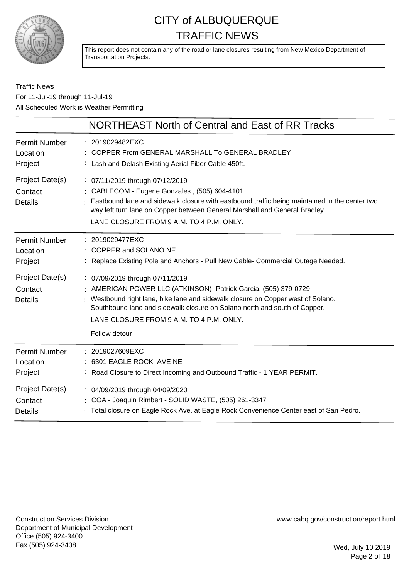

This report does not contain any of the road or lane closures resulting from New Mexico Department of Transportation Projects.

### Traffic News For 11-Jul-19 through 11-Jul-19 All Scheduled Work is Weather Permitting

|                                              | NORTHEAST North of Central and East of RR Tracks                                                                                                                                                                                                                                                                                |
|----------------------------------------------|---------------------------------------------------------------------------------------------------------------------------------------------------------------------------------------------------------------------------------------------------------------------------------------------------------------------------------|
| Permit Number                                | : 2019029482EXC                                                                                                                                                                                                                                                                                                                 |
| Location                                     | COPPER From GENERAL MARSHALL To GENERAL BRADLEY                                                                                                                                                                                                                                                                                 |
| Project                                      | : Lash and Delash Existing Aerial Fiber Cable 450ft.                                                                                                                                                                                                                                                                            |
| Project Date(s)<br>Contact<br><b>Details</b> | : 07/11/2019 through 07/12/2019<br>: CABLECOM - Eugene Gonzales, (505) 604-4101<br>Eastbound lane and sidewalk closure with eastbound traffic being maintained in the center two<br>way left turn lane on Copper between General Marshall and General Bradley.<br>LANE CLOSURE FROM 9 A.M. TO 4 P.M. ONLY.                      |
| Permit Number                                | : 2019029477EXC                                                                                                                                                                                                                                                                                                                 |
| Location                                     | COPPER and SOLANO NE                                                                                                                                                                                                                                                                                                            |
| Project                                      | Replace Existing Pole and Anchors - Pull New Cable- Commercial Outage Needed.                                                                                                                                                                                                                                                   |
| Project Date(s)<br>Contact<br><b>Details</b> | : 07/09/2019 through 07/11/2019<br>: AMERICAN POWER LLC (ATKINSON) - Patrick Garcia, (505) 379-0729<br>Westbound right lane, bike lane and sidewalk closure on Copper west of Solano.<br>Southbound lane and sidewalk closure on Solano north and south of Copper.<br>LANE CLOSURE FROM 9 A.M. TO 4 P.M. ONLY.<br>Follow detour |
| Permit Number                                | 2019027609EXC                                                                                                                                                                                                                                                                                                                   |
| Location                                     | 6301 EAGLE ROCK AVE NE                                                                                                                                                                                                                                                                                                          |
| Project                                      | : Road Closure to Direct Incoming and Outbound Traffic - 1 YEAR PERMIT.                                                                                                                                                                                                                                                         |
| Project Date(s)                              | : 04/09/2019 through 04/09/2020                                                                                                                                                                                                                                                                                                 |
| Contact                                      | COA - Joaquin Rimbert - SOLID WASTE, (505) 261-3347                                                                                                                                                                                                                                                                             |
| <b>Details</b>                               | : Total closure on Eagle Rock Ave. at Eagle Rock Convenience Center east of San Pedro.                                                                                                                                                                                                                                          |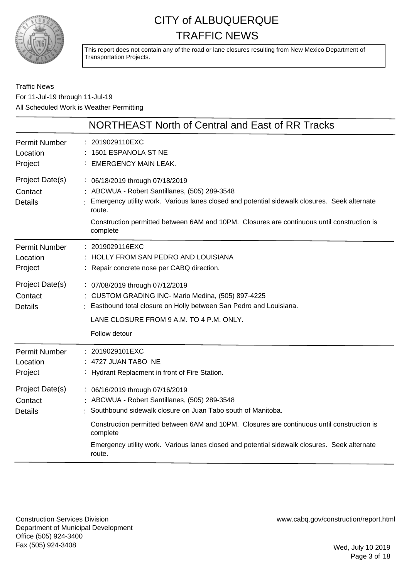

This report does not contain any of the road or lane closures resulting from New Mexico Department of Transportation Projects.

Traffic News For 11-Jul-19 through 11-Jul-19 All Scheduled Work is Weather Permitting

|                                              | NORTHEAST North of Central and East of RR Tracks                                                                                                                                                                                                                                                                                                                    |
|----------------------------------------------|---------------------------------------------------------------------------------------------------------------------------------------------------------------------------------------------------------------------------------------------------------------------------------------------------------------------------------------------------------------------|
| <b>Permit Number</b><br>Location<br>Project  | 2019029110EXC<br>1501 ESPANOLA ST NE<br><b>EMERGENCY MAIN LEAK.</b>                                                                                                                                                                                                                                                                                                 |
| Project Date(s)<br>Contact<br><b>Details</b> | : 06/18/2019 through 07/18/2019<br>: ABCWUA - Robert Santillanes, (505) 289-3548<br>Emergency utility work. Various lanes closed and potential sidewalk closures. Seek alternate<br>route.<br>Construction permitted between 6AM and 10PM. Closures are continuous until construction is<br>complete                                                                |
| <b>Permit Number</b><br>Location<br>Project  | : 2019029116EXC<br>HOLLY FROM SAN PEDRO AND LOUISIANA<br>: Repair concrete nose per CABQ direction.                                                                                                                                                                                                                                                                 |
| Project Date(s)<br>Contact<br><b>Details</b> | : 07/08/2019 through 07/12/2019<br>: CUSTOM GRADING INC- Mario Medina, (505) 897-4225<br>Eastbound total closure on Holly between San Pedro and Louisiana.<br>LANE CLOSURE FROM 9 A.M. TO 4 P.M. ONLY.<br>Follow detour                                                                                                                                             |
| <b>Permit Number</b><br>Location<br>Project  | : 2019029101EXC<br>4727 JUAN TABO NE<br>: Hydrant Replacment in front of Fire Station.                                                                                                                                                                                                                                                                              |
| Project Date(s)<br>Contact<br><b>Details</b> | : 06/16/2019 through 07/16/2019<br>: ABCWUA - Robert Santillanes, (505) 289-3548<br>Southbound sidewalk closure on Juan Tabo south of Manitoba.<br>Construction permitted between 6AM and 10PM. Closures are continuous until construction is<br>complete<br>Emergency utility work. Various lanes closed and potential sidewalk closures. Seek alternate<br>route. |

Construction Services Division Department of Municipal Development Office (505) 924-3400 Fax (505) 924-3408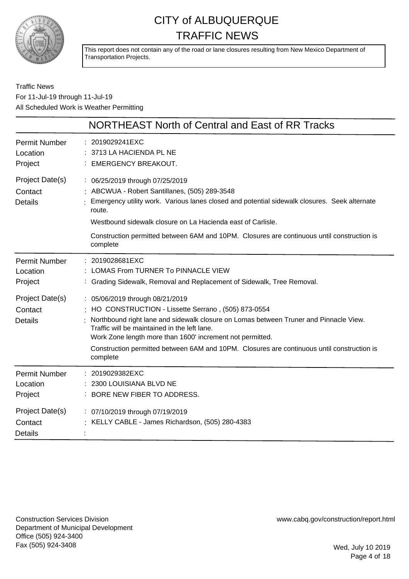

This report does not contain any of the road or lane closures resulting from New Mexico Department of Transportation Projects.

Traffic News For 11-Jul-19 through 11-Jul-19 All Scheduled Work is Weather Permitting

|                                              | <b>NORTHEAST North of Central and East of RR Tracks</b>                                                                                                                                                                                                                                                                                                                                                 |
|----------------------------------------------|---------------------------------------------------------------------------------------------------------------------------------------------------------------------------------------------------------------------------------------------------------------------------------------------------------------------------------------------------------------------------------------------------------|
| <b>Permit Number</b><br>Location<br>Project  | 2019029241EXC<br>: 3713 LA HACIENDA PL NE<br><b>EMERGENCY BREAKOUT.</b>                                                                                                                                                                                                                                                                                                                                 |
| Project Date(s)<br>Contact<br><b>Details</b> | : 06/25/2019 through 07/25/2019<br>: ABCWUA - Robert Santillanes, (505) 289-3548<br>Emergency utility work. Various lanes closed and potential sidewalk closures. Seek alternate<br>route.<br>Westbound sidewalk closure on La Hacienda east of Carlisle.<br>Construction permitted between 6AM and 10PM. Closures are continuous until construction is<br>complete                                     |
| <b>Permit Number</b><br>Location<br>Project  | : 2019028681EXC<br>LOMAS From TURNER To PINNACLE VIEW<br>Grading Sidewalk, Removal and Replacement of Sidewalk, Tree Removal.                                                                                                                                                                                                                                                                           |
| Project Date(s)<br>Contact<br><b>Details</b> | : 05/06/2019 through 08/21/2019<br>: HO CONSTRUCTION - Lissette Serrano, (505) 873-0554<br>Northbound right lane and sidewalk closure on Lomas between Truner and Pinnacle View.<br>Traffic will be maintained in the left lane.<br>Work Zone length more than 1600' increment not permitted.<br>Construction permitted between 6AM and 10PM. Closures are continuous until construction is<br>complete |
| <b>Permit Number</b><br>Location<br>Project  | 2019029382EXC<br>2300 LOUISIANA BLVD NE<br>BORE NEW FIBER TO ADDRESS.                                                                                                                                                                                                                                                                                                                                   |
| Project Date(s)<br>Contact<br><b>Details</b> | : 07/10/2019 through 07/19/2019<br>: KELLY CABLE - James Richardson, (505) 280-4383                                                                                                                                                                                                                                                                                                                     |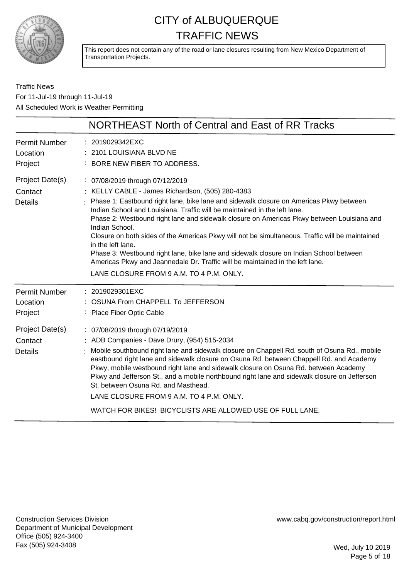

This report does not contain any of the road or lane closures resulting from New Mexico Department of Transportation Projects.

Traffic News For 11-Jul-19 through 11-Jul-19 All Scheduled Work is Weather Permitting

|                                                                                             | NORTHEAST North of Central and East of RR Tracks                                                                                                                                                                                                                                                                                                                                                                                                                                                                                                                                                                                                                                                                           |
|---------------------------------------------------------------------------------------------|----------------------------------------------------------------------------------------------------------------------------------------------------------------------------------------------------------------------------------------------------------------------------------------------------------------------------------------------------------------------------------------------------------------------------------------------------------------------------------------------------------------------------------------------------------------------------------------------------------------------------------------------------------------------------------------------------------------------------|
| <b>Permit Number</b><br>Location<br>Project                                                 | : 2019029342EXC<br>: 2101 LOUISIANA BLVD NE<br>: BORE NEW FIBER TO ADDRESS.                                                                                                                                                                                                                                                                                                                                                                                                                                                                                                                                                                                                                                                |
| Project Date(s)<br>Contact<br><b>Details</b>                                                | : 07/08/2019 through 07/12/2019<br>: KELLY CABLE - James Richardson, (505) 280-4383<br>: Phase 1: Eastbound right lane, bike lane and sidewalk closure on Americas Pkwy between<br>Indian School and Louisiana. Traffic will be maintained in the left lane.<br>Phase 2: Westbound right lane and sidewalk closure on Americas Pkwy between Louisiana and<br>Indian School.<br>Closure on both sides of the Americas Pkwy will not be simultaneous. Traffic will be maintained<br>in the left lane.<br>Phase 3: Westbound right lane, bike lane and sidewalk closure on Indian School between<br>Americas Pkwy and Jeannedale Dr. Traffic will be maintained in the left lane.<br>LANE CLOSURE FROM 9 A.M. TO 4 P.M. ONLY. |
| <b>Permit Number</b><br>Location<br>Project<br>Project Date(s)<br>Contact<br><b>Details</b> | : 2019029301EXC<br>: OSUNA From CHAPPELL To JEFFERSON<br>: Place Fiber Optic Cable<br>: 07/08/2019 through 07/19/2019<br>: ADB Companies - Dave Drury, (954) 515-2034<br>Mobile southbound right lane and sidewalk closure on Chappell Rd. south of Osuna Rd., mobile<br>eastbound right lane and sidewalk closure on Osuna Rd. between Chappell Rd. and Academy<br>Pkwy, mobile westbound right lane and sidewalk closure on Osuna Rd. between Academy<br>Pkwy and Jefferson St., and a mobile northbound right lane and sidewalk closure on Jefferson<br>St. between Osuna Rd. and Masthead.<br>LANE CLOSURE FROM 9 A.M. TO 4 P.M. ONLY.<br>WATCH FOR BIKES! BICYCLISTS ARE ALLOWED USE OF FULL LANE.                    |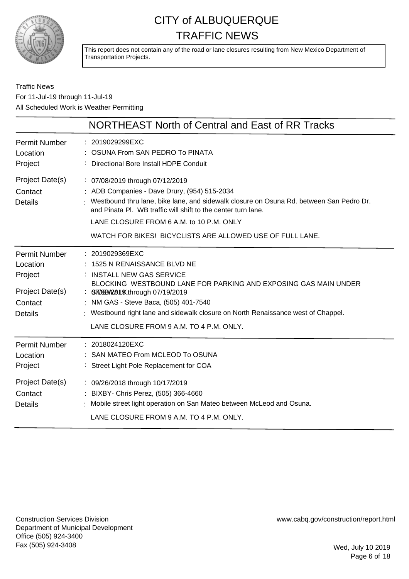

This report does not contain any of the road or lane closures resulting from New Mexico Department of Transportation Projects.

### Traffic News For 11-Jul-19 through 11-Jul-19 All Scheduled Work is Weather Permitting

|                                                                                             | NORTHEAST North of Central and East of RR Tracks                                                                                                                                                                                                                                                                                                           |
|---------------------------------------------------------------------------------------------|------------------------------------------------------------------------------------------------------------------------------------------------------------------------------------------------------------------------------------------------------------------------------------------------------------------------------------------------------------|
| <b>Permit Number</b><br>Location<br>Project                                                 | : 2019029299EXC<br>OSUNA From SAN PEDRO To PINATA<br>: Directional Bore Install HDPE Conduit                                                                                                                                                                                                                                                               |
| Project Date(s)<br>Contact<br><b>Details</b>                                                | : 07/08/2019 through 07/12/2019<br>: ADB Companies - Dave Drury, (954) 515-2034<br>: Westbound thru lane, bike lane, and sidewalk closure on Osuna Rd. between San Pedro Dr.<br>and Pinata PI. WB traffic will shift to the center turn lane.<br>LANE CLOSURE FROM 6 A.M. to 10 P.M. ONLY<br>WATCH FOR BIKES! BICYCLISTS ARE ALLOWED USE OF FULL LANE.     |
| <b>Permit Number</b><br>Location<br>Project<br>Project Date(s)<br>Contact<br><b>Details</b> | : 2019029369EXC<br>1525 N RENAISSANCE BLVD NE<br>: INSTALL NEW GAS SERVICE<br>BLOCKING WESTBOUND LANE FOR PARKING AND EXPOSING GAS MAIN UNDER<br>: GT00BV2AL9Xthrough 07/19/2019<br>: NM GAS - Steve Baca, (505) 401-7540<br>: Westbound right lane and sidewalk closure on North Renaissance west of Chappel.<br>LANE CLOSURE FROM 9 A.M. TO 4 P.M. ONLY. |
| <b>Permit Number</b><br>Location<br>Project                                                 | : 2018024120EXC<br>: SAN MATEO From MCLEOD To OSUNA<br>: Street Light Pole Replacement for COA                                                                                                                                                                                                                                                             |
| Project Date(s)<br>Contact<br><b>Details</b>                                                | : 09/26/2018 through 10/17/2019<br>: BIXBY- Chris Perez, (505) 366-4660<br>: Mobile street light operation on San Mateo between McLeod and Osuna.<br>LANE CLOSURE FROM 9 A.M. TO 4 P.M. ONLY.                                                                                                                                                              |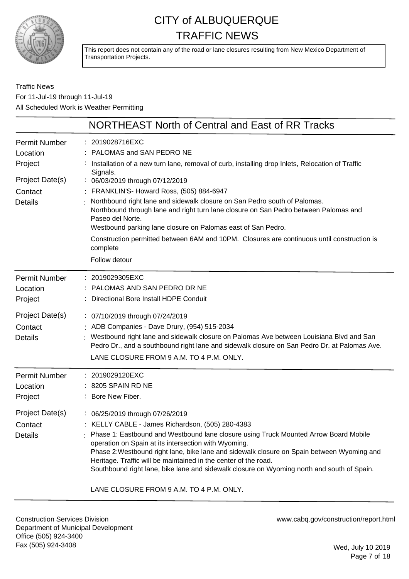

This report does not contain any of the road or lane closures resulting from New Mexico Department of Transportation Projects.

### Traffic News For 11-Jul-19 through 11-Jul-19 All Scheduled Work is Weather Permitting

|                                              | NORTHEAST North of Central and East of RR Tracks                                                                                                                                                                                                                                                                                                                                                                                                                                                                                             |
|----------------------------------------------|----------------------------------------------------------------------------------------------------------------------------------------------------------------------------------------------------------------------------------------------------------------------------------------------------------------------------------------------------------------------------------------------------------------------------------------------------------------------------------------------------------------------------------------------|
| <b>Permit Number</b><br>Location<br>Project  | 2019028716EXC<br>PALOMAS and SAN PEDRO NE<br>Installation of a new turn lane, removal of curb, installing drop Inlets, Relocation of Traffic                                                                                                                                                                                                                                                                                                                                                                                                 |
| Project Date(s)<br>Contact<br><b>Details</b> | Signals.<br>: 06/03/2019 through 07/12/2019<br>FRANKLIN'S- Howard Ross, (505) 884-6947<br>Northbound right lane and sidewalk closure on San Pedro south of Palomas.<br>Northbound through lane and right turn lane closure on San Pedro between Palomas and<br>Paseo del Norte.<br>Westbound parking lane closure on Palomas east of San Pedro.<br>Construction permitted between 6AM and 10PM. Closures are continuous until construction is<br>complete<br>Follow detour                                                                   |
| <b>Permit Number</b><br>Location<br>Project  | 2019029305EXC<br>PALOMAS AND SAN PEDRO DR NE<br>Directional Bore Install HDPE Conduit                                                                                                                                                                                                                                                                                                                                                                                                                                                        |
| Project Date(s)<br>Contact<br><b>Details</b> | : 07/10/2019 through 07/24/2019<br>ADB Companies - Dave Drury, (954) 515-2034<br>Westbound right lane and sidewalk closure on Palomas Ave between Louisiana Blvd and San<br>Pedro Dr., and a southbound right lane and sidewalk closure on San Pedro Dr. at Palomas Ave.<br>LANE CLOSURE FROM 9 A.M. TO 4 P.M. ONLY.                                                                                                                                                                                                                         |
| <b>Permit Number</b><br>Location<br>Project  | 2019029120EXC<br>8205 SPAIN RD NE<br>Bore New Fiber.                                                                                                                                                                                                                                                                                                                                                                                                                                                                                         |
| Project Date(s)<br>Contact<br><b>Details</b> | : 06/25/2019 through 07/26/2019<br>KELLY CABLE - James Richardson, (505) 280-4383<br>Phase 1: Eastbound and Westbound lane closure using Truck Mounted Arrow Board Mobile<br>operation on Spain at its intersection with Wyoming.<br>Phase 2: Westbound right lane, bike lane and sidewalk closure on Spain between Wyoming and<br>Heritage. Traffic will be maintained in the center of the road.<br>Southbound right lane, bike lane and sidewalk closure on Wyoming north and south of Spain.<br>LANE CLOSURE FROM 9 A.M. TO 4 P.M. ONLY. |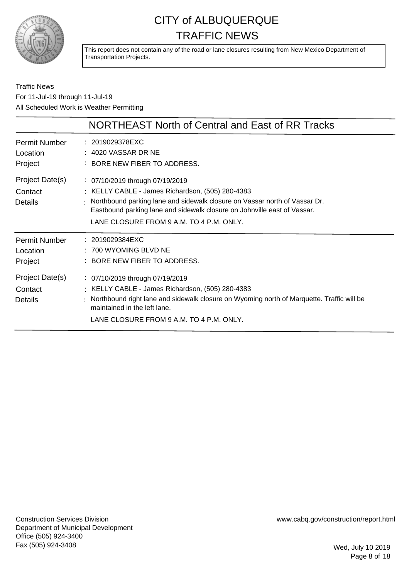

This report does not contain any of the road or lane closures resulting from New Mexico Department of Transportation Projects.

Traffic News For 11-Jul-19 through 11-Jul-19 All Scheduled Work is Weather Permitting

|                                              | NORTHEAST North of Central and East of RR Tracks                                                                                                                                                                                                                                            |
|----------------------------------------------|---------------------------------------------------------------------------------------------------------------------------------------------------------------------------------------------------------------------------------------------------------------------------------------------|
| Permit Number<br>Location<br>Project         | : 2019029378EXC<br>$: 4020$ VASSAR DR NE<br>: BORE NEW FIBER TO ADDRESS.                                                                                                                                                                                                                    |
| Project Date(s)<br>Contact<br><b>Details</b> | : 07/10/2019 through 07/19/2019<br>: KELLY CABLE - James Richardson, (505) 280-4383<br>: Northbound parking lane and sidewalk closure on Vassar north of Vassar Dr.<br>Eastbound parking lane and sidewalk closure on Johnville east of Vassar.<br>LANE CLOSURE FROM 9 A.M. TO 4 P.M. ONLY. |
| Permit Number<br>Location<br>Project         | : 2019029384EXC<br>$: 700$ WYOMING BLVD NE<br>: BORE NEW FIBER TO ADDRESS.                                                                                                                                                                                                                  |
| Project Date(s)<br>Contact<br>Details        | : 07/10/2019 through 07/19/2019<br>: KELLY CABLE - James Richardson, (505) 280-4383<br>: Northbound right lane and sidewalk closure on Wyoming north of Marquette. Traffic will be<br>maintained in the left lane.<br>LANE CLOSURE FROM 9 A.M. TO 4 P.M. ONLY.                              |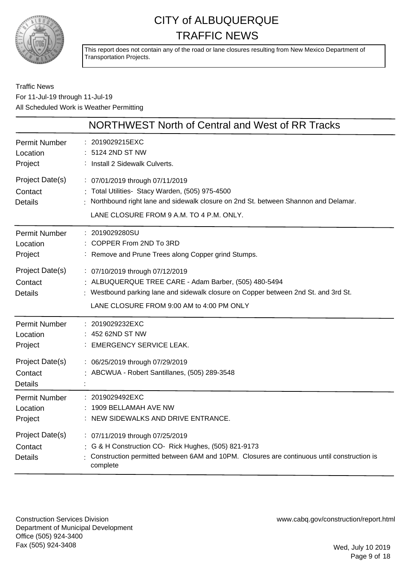

This report does not contain any of the road or lane closures resulting from New Mexico Department of Transportation Projects.

### Traffic News For 11-Jul-19 through 11-Jul-19 All Scheduled Work is Weather Permitting

|                                              | NORTHWEST North of Central and West of RR Tracks                                                                                                                                                                             |
|----------------------------------------------|------------------------------------------------------------------------------------------------------------------------------------------------------------------------------------------------------------------------------|
| Permit Number<br>Location<br>Project         | 2019029215EXC<br>: 5124 2ND ST NW<br>: Install 2 Sidewalk Culverts.                                                                                                                                                          |
| Project Date(s)<br>Contact<br><b>Details</b> | : 07/01/2019 through 07/11/2019<br>: Total Utilities- Stacy Warden, (505) 975-4500<br>: Northbound right lane and sidewalk closure on 2nd St. between Shannon and Delamar.<br>LANE CLOSURE FROM 9 A.M. TO 4 P.M. ONLY.       |
| Permit Number<br>Location<br>Project         | : 2019029280SU<br>COPPER From 2ND To 3RD<br>: Remove and Prune Trees along Copper grind Stumps.                                                                                                                              |
| Project Date(s)<br>Contact<br><b>Details</b> | : 07/10/2019 through 07/12/2019<br>: ALBUQUERQUE TREE CARE - Adam Barber, (505) 480-5494<br>: Westbound parking lane and sidewalk closure on Copper between 2nd St. and 3rd St.<br>LANE CLOSURE FROM 9:00 AM to 4:00 PM ONLY |
| Permit Number<br>Location<br>Project         | : 2019029232EXC<br>: 452 62ND ST NW<br>: EMERGENCY SERVICE LEAK.                                                                                                                                                             |
| Project Date(s)<br>Contact<br><b>Details</b> | : 06/25/2019 through 07/29/2019<br>: ABCWUA - Robert Santillanes, (505) 289-3548                                                                                                                                             |
| Permit Number<br>Location<br>Project         | : 2019029492EXC<br>1909 BELLAMAH AVE NW<br>NEW SIDEWALKS AND DRIVE ENTRANCE.                                                                                                                                                 |
| Project Date(s)<br>Contact<br><b>Details</b> | : 07/11/2019 through 07/25/2019<br>: G & H Construction CO- Rick Hughes, (505) 821-9173<br>Construction permitted between 6AM and 10PM. Closures are continuous until construction is<br>complete                            |

Construction Services Division Department of Municipal Development Office (505) 924-3400 Fax (505) 924-3408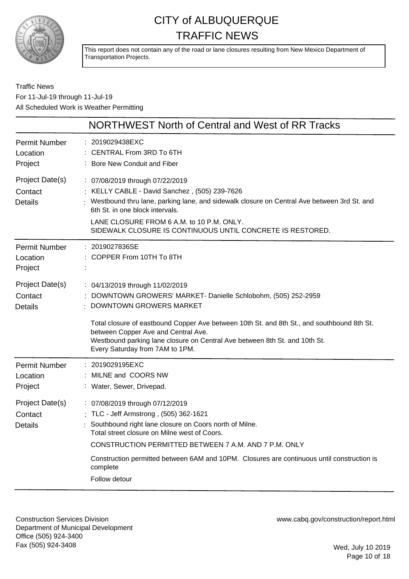

This report does not contain any of the road or lane closures resulting from New Mexico Department of Transportation Projects.

Traffic News For 11-Jul-19 through 11-Jul-19 All Scheduled Work is Weather Permitting

|                                              | NORTHWEST North of Central and West of RR Tracks                                                                                                                                                                                                                                                                                                                        |
|----------------------------------------------|-------------------------------------------------------------------------------------------------------------------------------------------------------------------------------------------------------------------------------------------------------------------------------------------------------------------------------------------------------------------------|
| Permit Number<br>Location<br>Project         | : 2019029438EXC<br>CENTRAL From 3RD To 6TH<br>: Bore New Conduit and Fiber                                                                                                                                                                                                                                                                                              |
| Project Date(s)<br>Contact<br><b>Details</b> | : 07/08/2019 through 07/22/2019<br>: KELLY CABLE - David Sanchez, (505) 239-7626<br>Westbound thru lane, parking lane, and sidewalk closure on Central Ave between 3rd St. and<br>6th St. in one block intervals.<br>LANE CLOSURE FROM 6 A.M. to 10 P.M. ONLY.<br>SIDEWALK CLOSURE IS CONTINUOUS UNTIL CONCRETE IS RESTORED.                                            |
| <b>Permit Number</b><br>Location<br>Project  | : 2019027836SE<br>: COPPER From 10TH To 8TH                                                                                                                                                                                                                                                                                                                             |
| Project Date(s)<br>Contact<br><b>Details</b> | : 04/13/2019 through 11/02/2019<br>: DOWNTOWN GROWERS' MARKET- Danielle Schlobohm, (505) 252-2959<br>DOWNTOWN GROWERS MARKET                                                                                                                                                                                                                                            |
|                                              | Total closure of eastbound Copper Ave between 10th St. and 8th St., and southbound 8th St.<br>between Copper Ave and Central Ave.<br>Westbound parking lane closure on Central Ave between 8th St. and 10th St.<br>Every Saturday from 7AM to 1PM.                                                                                                                      |
| <b>Permit Number</b><br>Location<br>Project  | : 2019029195EXC<br>MILNE and COORS NW<br>: Water, Sewer, Drivepad.                                                                                                                                                                                                                                                                                                      |
| Project Date(s)<br>Contact<br>Details        | : 07/08/2019 through 07/12/2019<br>: TLC - Jeff Armstrong, (505) 362-1621<br>Southbound right lane closure on Coors north of Milne.<br>Total street closure on Milne west of Coors.<br>CONSTRUCTION PERMITTED BETWEEN 7 A.M. AND 7 P.M. ONLY<br>Construction permitted between 6AM and 10PM. Closures are continuous until construction is<br>complete<br>Follow detour |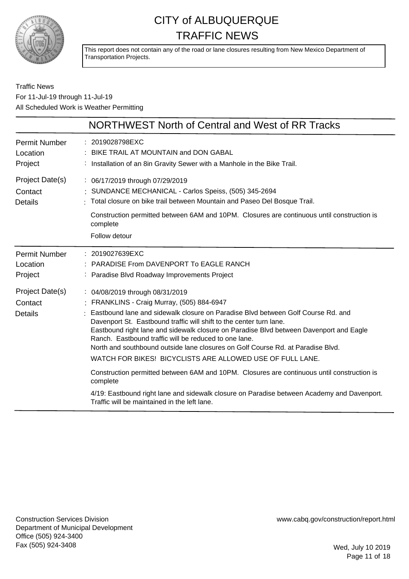

This report does not contain any of the road or lane closures resulting from New Mexico Department of Transportation Projects.

### Traffic News For 11-Jul-19 through 11-Jul-19 All Scheduled Work is Weather Permitting

|                                              | NORTHWEST North of Central and West of RR Tracks                                                                                                                                                                                                                                                                                                                                                                                                                                                                                                                                                                                                                                                                                                                                                    |
|----------------------------------------------|-----------------------------------------------------------------------------------------------------------------------------------------------------------------------------------------------------------------------------------------------------------------------------------------------------------------------------------------------------------------------------------------------------------------------------------------------------------------------------------------------------------------------------------------------------------------------------------------------------------------------------------------------------------------------------------------------------------------------------------------------------------------------------------------------------|
| Permit Number                                | : 2019028798EXC                                                                                                                                                                                                                                                                                                                                                                                                                                                                                                                                                                                                                                                                                                                                                                                     |
| Location                                     | BIKE TRAIL AT MOUNTAIN and DON GABAL                                                                                                                                                                                                                                                                                                                                                                                                                                                                                                                                                                                                                                                                                                                                                                |
| Project                                      | Installation of an 8in Gravity Sewer with a Manhole in the Bike Trail.                                                                                                                                                                                                                                                                                                                                                                                                                                                                                                                                                                                                                                                                                                                              |
| Project Date(s)                              | : 06/17/2019 through 07/29/2019                                                                                                                                                                                                                                                                                                                                                                                                                                                                                                                                                                                                                                                                                                                                                                     |
| Contact                                      | SUNDANCE MECHANICAL - Carlos Speiss, (505) 345-2694                                                                                                                                                                                                                                                                                                                                                                                                                                                                                                                                                                                                                                                                                                                                                 |
| <b>Details</b>                               | : Total closure on bike trail between Mountain and Paseo Del Bosque Trail.                                                                                                                                                                                                                                                                                                                                                                                                                                                                                                                                                                                                                                                                                                                          |
|                                              | Construction permitted between 6AM and 10PM. Closures are continuous until construction is<br>complete<br>Follow detour                                                                                                                                                                                                                                                                                                                                                                                                                                                                                                                                                                                                                                                                             |
| <b>Permit Number</b>                         | : 2019027639EXC                                                                                                                                                                                                                                                                                                                                                                                                                                                                                                                                                                                                                                                                                                                                                                                     |
| Location                                     | <b>PARADISE From DAVENPORT To EAGLE RANCH</b>                                                                                                                                                                                                                                                                                                                                                                                                                                                                                                                                                                                                                                                                                                                                                       |
| Project                                      | : Paradise Blvd Roadway Improvements Project                                                                                                                                                                                                                                                                                                                                                                                                                                                                                                                                                                                                                                                                                                                                                        |
| Project Date(s)<br>Contact<br><b>Details</b> | : 04/08/2019 through 08/31/2019<br>: FRANKLINS - Craig Murray, (505) 884-6947<br>Eastbound lane and sidewalk closure on Paradise Blyd between Golf Course Rd. and<br>Davenport St. Eastbound traffic will shift to the center turn lane.<br>Eastbound right lane and sidewalk closure on Paradise Blvd between Davenport and Eagle<br>Ranch. Eastbound traffic will be reduced to one lane.<br>North and southbound outside lane closures on Golf Course Rd, at Paradise Blvd.<br>WATCH FOR BIKES! BICYCLISTS ARE ALLOWED USE OF FULL LANE.<br>Construction permitted between 6AM and 10PM. Closures are continuous until construction is<br>complete<br>4/19: Eastbound right lane and sidewalk closure on Paradise between Academy and Davenport.<br>Traffic will be maintained in the left lane. |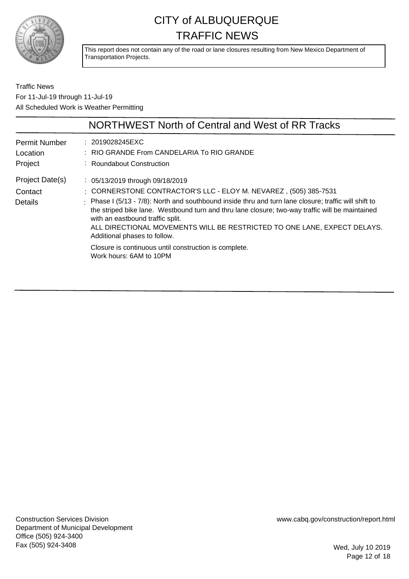

This report does not contain any of the road or lane closures resulting from New Mexico Department of Transportation Projects.

Traffic News For 11-Jul-19 through 11-Jul-19 All Scheduled Work is Weather Permitting

|                                             | NORTHWEST North of Central and West of RR Tracks                                                                                                                                                                                                                                                                                                                                                                                                                                                                                                    |
|---------------------------------------------|-----------------------------------------------------------------------------------------------------------------------------------------------------------------------------------------------------------------------------------------------------------------------------------------------------------------------------------------------------------------------------------------------------------------------------------------------------------------------------------------------------------------------------------------------------|
| <b>Permit Number</b><br>Location<br>Project | : 2019028245EXC<br>: RIO GRANDE From CANDELARIA To RIO GRANDE<br>: Roundabout Construction                                                                                                                                                                                                                                                                                                                                                                                                                                                          |
| Project Date(s)<br>Contact<br>Details       | : 05/13/2019 through 09/18/2019<br>: CORNERSTONE CONTRACTOR'S LLC - ELOY M. NEVAREZ, (505) 385-7531<br>: Phase I (5/13 - 7/8): North and southbound inside thru and turn lane closure; traffic will shift to<br>the striped bike lane. Westbound turn and thru lane closure; two-way traffic will be maintained<br>with an eastbound traffic split.<br>ALL DIRECTIONAL MOVEMENTS WILL BE RESTRICTED TO ONE LANE, EXPECT DELAYS.<br>Additional phases to follow.<br>Closure is continuous until construction is complete.<br>Work hours: 6AM to 10PM |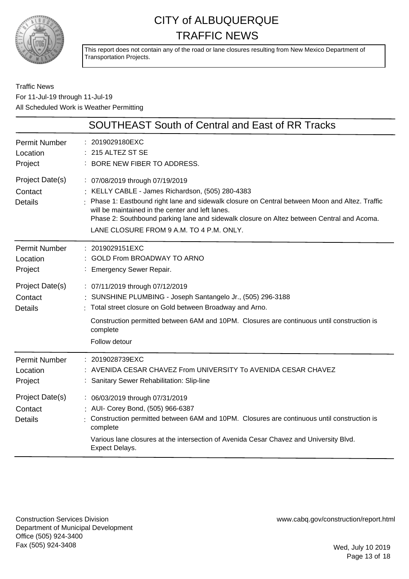

This report does not contain any of the road or lane closures resulting from New Mexico Department of Transportation Projects.

### Traffic News For 11-Jul-19 through 11-Jul-19 All Scheduled Work is Weather Permitting

|                                              | <b>SOUTHEAST South of Central and East of RR Tracks</b>                                                                                                                                                                                                                                                                                                                           |
|----------------------------------------------|-----------------------------------------------------------------------------------------------------------------------------------------------------------------------------------------------------------------------------------------------------------------------------------------------------------------------------------------------------------------------------------|
| <b>Permit Number</b><br>Location<br>Project  | 2019029180EXC<br>215 ALTEZ ST SE<br>BORE NEW FIBER TO ADDRESS.                                                                                                                                                                                                                                                                                                                    |
| Project Date(s)<br>Contact<br><b>Details</b> | : 07/08/2019 through 07/19/2019<br>: KELLY CABLE - James Richardson, (505) 280-4383<br>Phase 1: Eastbound right lane and sidewalk closure on Central between Moon and Altez. Traffic<br>will be maintained in the center and left lanes.<br>Phase 2: Southbound parking lane and sidewalk closure on Altez between Central and Acoma.<br>LANE CLOSURE FROM 9 A.M. TO 4 P.M. ONLY. |
| <b>Permit Number</b><br>Location<br>Project  | : 2019029151EXC<br><b>GOLD From BROADWAY TO ARNO</b><br><b>Emergency Sewer Repair.</b>                                                                                                                                                                                                                                                                                            |
| Project Date(s)<br>Contact<br><b>Details</b> | : 07/11/2019 through 07/12/2019<br>SUNSHINE PLUMBING - Joseph Santangelo Jr., (505) 296-3188<br>Total street closure on Gold between Broadway and Arno.<br>Construction permitted between 6AM and 10PM. Closures are continuous until construction is<br>complete<br>Follow detour                                                                                                |
| <b>Permit Number</b><br>Location<br>Project  | 2019028739EXC<br>AVENIDA CESAR CHAVEZ From UNIVERSITY To AVENIDA CESAR CHAVEZ<br>Sanitary Sewer Rehabilitation: Slip-line                                                                                                                                                                                                                                                         |
| Project Date(s)<br>Contact<br><b>Details</b> | : 06/03/2019 through 07/31/2019<br>: AUI- Corey Bond, (505) 966-6387<br>Construction permitted between 6AM and 10PM. Closures are continuous until construction is<br>complete<br>Various lane closures at the intersection of Avenida Cesar Chavez and University Blvd.<br><b>Expect Delays.</b>                                                                                 |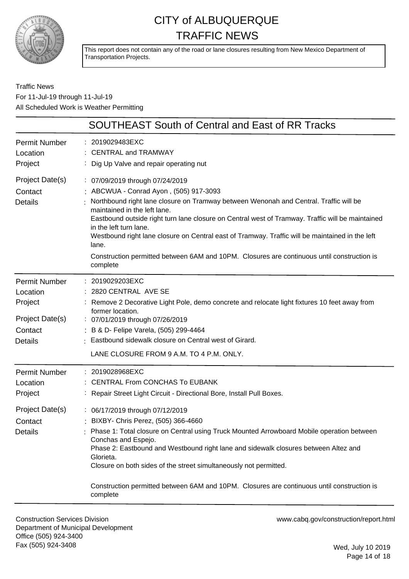

This report does not contain any of the road or lane closures resulting from New Mexico Department of Transportation Projects.

Traffic News For 11-Jul-19 through 11-Jul-19 All Scheduled Work is Weather Permitting

| SOUTHEAST South of Central and East of RR Tracks                                            |                                                                                                                                                                                                                                                                                                                                                                                                                                                                                                                                                      |  |
|---------------------------------------------------------------------------------------------|------------------------------------------------------------------------------------------------------------------------------------------------------------------------------------------------------------------------------------------------------------------------------------------------------------------------------------------------------------------------------------------------------------------------------------------------------------------------------------------------------------------------------------------------------|--|
| <b>Permit Number</b><br>Location<br>Project                                                 | : 2019029483EXC<br><b>CENTRAL and TRAMWAY</b><br>Dig Up Valve and repair operating nut                                                                                                                                                                                                                                                                                                                                                                                                                                                               |  |
| Project Date(s)<br>Contact<br><b>Details</b>                                                | : 07/09/2019 through 07/24/2019<br>ABCWUA - Conrad Ayon, (505) 917-3093<br>Northbound right lane closure on Tramway between Wenonah and Central. Traffic will be<br>maintained in the left lane.<br>Eastbound outside right turn lane closure on Central west of Tramway. Traffic will be maintained<br>in the left turn lane.<br>Westbound right lane closure on Central east of Tramway. Traffic will be maintained in the left<br>lane.<br>Construction permitted between 6AM and 10PM. Closures are continuous until construction is<br>complete |  |
| <b>Permit Number</b><br>Location<br>Project<br>Project Date(s)<br>Contact<br><b>Details</b> | : 2019029203EXC<br>: 2820 CENTRAL AVE SE<br>: Remove 2 Decorative Light Pole, demo concrete and relocate light fixtures 10 feet away from<br>former location.<br>: 07/01/2019 through 07/26/2019<br>: B & D- Felipe Varela, (505) 299-4464<br>: Eastbound sidewalk closure on Central west of Girard.<br>LANE CLOSURE FROM 9 A.M. TO 4 P.M. ONLY.                                                                                                                                                                                                    |  |
| <b>Permit Number</b><br>Location<br>Project<br>Project Date(s)<br>Contact<br><b>Details</b> | : 2019028968EXC<br>: CENTRAL From CONCHAS To EUBANK<br>: Repair Street Light Circuit - Directional Bore, Install Pull Boxes.<br>: 06/17/2019 through 07/12/2019<br>: BIXBY- Chris Perez, (505) 366-4660<br>Phase 1: Total closure on Central using Truck Mounted Arrowboard Mobile operation between<br>Conchas and Espejo.<br>Phase 2: Eastbound and Westbound right lane and sidewalk closures between Altez and<br>Glorieta.<br>Closure on both sides of the street simultaneously not permitted.                                                 |  |
|                                                                                             | Construction permitted between 6AM and 10PM. Closures are continuous until construction is<br>complete                                                                                                                                                                                                                                                                                                                                                                                                                                               |  |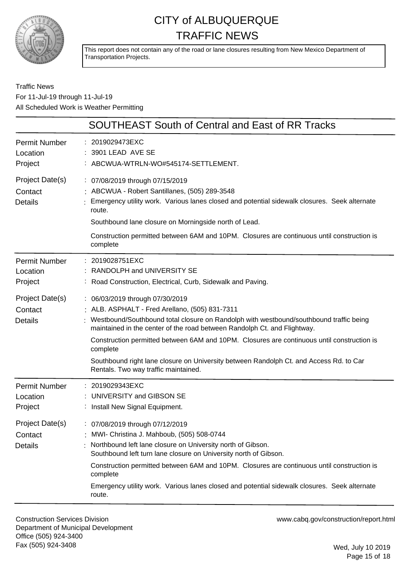

This report does not contain any of the road or lane closures resulting from New Mexico Department of Transportation Projects.

### Traffic News For 11-Jul-19 through 11-Jul-19 All Scheduled Work is Weather Permitting

|                                              | SOUTHEAST South of Central and East of RR Tracks                                                                                                                                                                                                                                                                                                                                                                                                                                                      |
|----------------------------------------------|-------------------------------------------------------------------------------------------------------------------------------------------------------------------------------------------------------------------------------------------------------------------------------------------------------------------------------------------------------------------------------------------------------------------------------------------------------------------------------------------------------|
| <b>Permit Number</b><br>Location<br>Project  | 2019029473EXC<br>3901 LEAD AVE SE<br>ABCWUA-WTRLN-WO#545174-SETTLEMENT.                                                                                                                                                                                                                                                                                                                                                                                                                               |
| Project Date(s)<br>Contact<br><b>Details</b> | : 07/08/2019 through 07/15/2019<br>: ABCWUA - Robert Santillanes, (505) 289-3548<br>Emergency utility work. Various lanes closed and potential sidewalk closures. Seek alternate<br>route.<br>Southbound lane closure on Morningside north of Lead.<br>Construction permitted between 6AM and 10PM. Closures are continuous until construction is<br>complete                                                                                                                                         |
| <b>Permit Number</b><br>Location<br>Project  | : 2019028751EXC<br>RANDOLPH and UNIVERSITY SE<br>: Road Construction, Electrical, Curb, Sidewalk and Paving.                                                                                                                                                                                                                                                                                                                                                                                          |
| Project Date(s)<br>Contact<br><b>Details</b> | : 06/03/2019 through 07/30/2019<br>: ALB. ASPHALT - Fred Arellano, (505) 831-7311<br>: Westbound/Southbound total closure on Randolph with westbound/southbound traffic being<br>maintained in the center of the road between Randolph Ct. and Flightway.<br>Construction permitted between 6AM and 10PM. Closures are continuous until construction is<br>complete<br>Southbound right lane closure on University between Randolph Ct. and Access Rd. to Car<br>Rentals. Two way traffic maintained. |
| <b>Permit Number</b><br>Location<br>Project  | 2019029343EXC<br>UNIVERSITY and GIBSON SE<br>: Install New Signal Equipment.                                                                                                                                                                                                                                                                                                                                                                                                                          |
| Project Date(s)<br>Contact<br><b>Details</b> | : 07/08/2019 through 07/12/2019<br>MWI- Christina J. Mahboub, (505) 508-0744<br>Northbound left lane closure on University north of Gibson.<br>Southbound left turn lane closure on University north of Gibson.<br>Construction permitted between 6AM and 10PM. Closures are continuous until construction is<br>complete<br>Emergency utility work. Various lanes closed and potential sidewalk closures. Seek alternate<br>route.                                                                   |

Construction Services Division Department of Municipal Development Office (505) 924-3400 Fax (505) 924-3408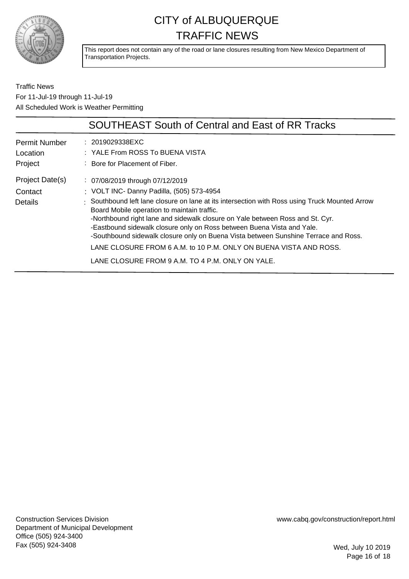

This report does not contain any of the road or lane closures resulting from New Mexico Department of Transportation Projects.

Traffic News For 11-Jul-19 through 11-Jul-19 All Scheduled Work is Weather Permitting

|                                              | <b>SOUTHEAST South of Central and East of RR Tracks</b>                                                                                                                                                                                                                                                                                                                                                                                                                                                                                                                                                  |
|----------------------------------------------|----------------------------------------------------------------------------------------------------------------------------------------------------------------------------------------------------------------------------------------------------------------------------------------------------------------------------------------------------------------------------------------------------------------------------------------------------------------------------------------------------------------------------------------------------------------------------------------------------------|
| <b>Permit Number</b><br>Location<br>Project  | : 2019029338EXC<br>: YALE From ROSS To BUENA VISTA<br>: Bore for Placement of Fiber.                                                                                                                                                                                                                                                                                                                                                                                                                                                                                                                     |
| Project Date(s)<br>Contact<br><b>Details</b> | : 07/08/2019 through 07/12/2019<br>: VOLT INC- Danny Padilla, (505) 573-4954<br>: Southbound left lane closure on lane at its intersection with Ross using Truck Mounted Arrow<br>Board Mobile operation to maintain traffic.<br>-Northbound right lane and sidewalk closure on Yale between Ross and St. Cyr.<br>-Eastbound sidewalk closure only on Ross between Buena Vista and Yale.<br>-Southbound sidewalk closure only on Buena Vista between Sunshine Terrace and Ross.<br>LANE CLOSURE FROM 6 A.M. to 10 P.M. ONLY ON BUENA VISTA AND ROSS.<br>LANE CLOSURE FROM 9 A.M. TO 4 P.M. ONLY ON YALE. |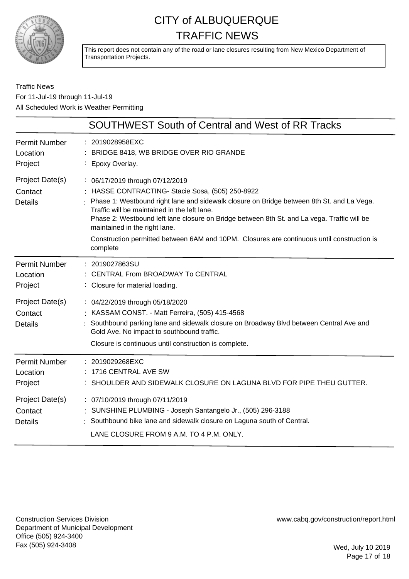

This report does not contain any of the road or lane closures resulting from New Mexico Department of Transportation Projects.

### Traffic News For 11-Jul-19 through 11-Jul-19 All Scheduled Work is Weather Permitting

|                                              | <b>SOUTHWEST South of Central and West of RR Tracks</b>                                                                                                                                                                                                                                                                                                                                                                                                                    |
|----------------------------------------------|----------------------------------------------------------------------------------------------------------------------------------------------------------------------------------------------------------------------------------------------------------------------------------------------------------------------------------------------------------------------------------------------------------------------------------------------------------------------------|
| <b>Permit Number</b><br>Location<br>Project  | : 2019028958EXC<br>: BRIDGE 8418, WB BRIDGE OVER RIO GRANDE<br>: Epoxy Overlay.                                                                                                                                                                                                                                                                                                                                                                                            |
| Project Date(s)<br>Contact<br><b>Details</b> | : 06/17/2019 through 07/12/2019<br>: HASSE CONTRACTING- Stacie Sosa, (505) 250-8922<br>Phase 1: Westbound right lane and sidewalk closure on Bridge between 8th St. and La Vega.<br>Traffic will be maintained in the left lane.<br>Phase 2: Westbound left lane closure on Bridge between 8th St. and La vega. Traffic will be<br>maintained in the right lane.<br>Construction permitted between 6AM and 10PM. Closures are continuous until construction is<br>complete |
| <b>Permit Number</b><br>Location<br>Project  | : 2019027863SU<br>CENTRAL From BROADWAY To CENTRAL<br>: Closure for material loading.                                                                                                                                                                                                                                                                                                                                                                                      |
| Project Date(s)<br>Contact<br><b>Details</b> | : 04/22/2019 through 05/18/2020<br>: KASSAM CONST. - Matt Ferreira, (505) 415-4568<br>: Southbound parking lane and sidewalk closure on Broadway Blvd between Central Ave and<br>Gold Ave. No impact to southbound traffic.<br>Closure is continuous until construction is complete.                                                                                                                                                                                       |
| <b>Permit Number</b><br>Location<br>Project  | : 2019029268EXC<br>1716 CENTRAL AVE SW<br>: SHOULDER AND SIDEWALK CLOSURE ON LAGUNA BLVD FOR PIPE THEU GUTTER.                                                                                                                                                                                                                                                                                                                                                             |
| Project Date(s)<br>Contact<br><b>Details</b> | : 07/10/2019 through 07/11/2019<br>: SUNSHINE PLUMBING - Joseph Santangelo Jr., (505) 296-3188<br>: Southbound bike lane and sidewalk closure on Laguna south of Central.<br>LANE CLOSURE FROM 9 A.M. TO 4 P.M. ONLY.                                                                                                                                                                                                                                                      |